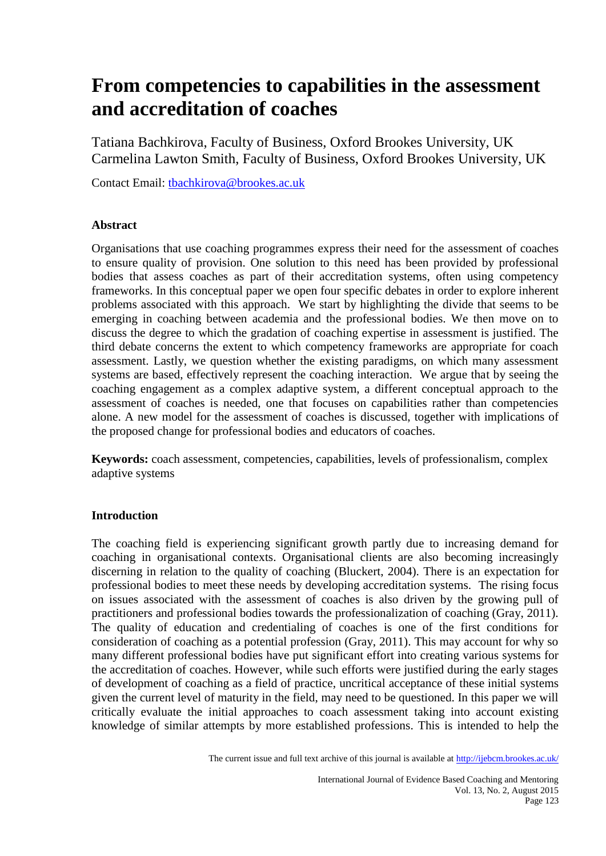# **From competencies to capabilities in the assessment and accreditation of coaches**

Tatiana Bachkirova, Faculty of Business, Oxford Brookes University, UK Carmelina Lawton Smith, Faculty of Business, Oxford Brookes University, UK

Contact Email: [tbachkirova@brookes.ac.uk](mailto:tbachkirova@brookes.ac.uk)

# **Abstract**

Organisations that use coaching programmes express their need for the assessment of coaches to ensure quality of provision. One solution to this need has been provided by professional bodies that assess coaches as part of their accreditation systems, often using competency frameworks. In this conceptual paper we open four specific debates in order to explore inherent problems associated with this approach. We start by highlighting the divide that seems to be emerging in coaching between academia and the professional bodies. We then move on to discuss the degree to which the gradation of coaching expertise in assessment is justified. The third debate concerns the extent to which competency frameworks are appropriate for coach assessment. Lastly, we question whether the existing paradigms, on which many assessment systems are based, effectively represent the coaching interaction. We argue that by seeing the coaching engagement as a complex adaptive system, a different conceptual approach to the assessment of coaches is needed, one that focuses on capabilities rather than competencies alone. A new model for the assessment of coaches is discussed, together with implications of the proposed change for professional bodies and educators of coaches.

**Keywords:** coach assessment, competencies, capabilities, levels of professionalism, complex adaptive systems

# **Introduction**

The coaching field is experiencing significant growth partly due to increasing demand for coaching in organisational contexts. Organisational clients are also becoming increasingly discerning in relation to the quality of coaching (Bluckert, 2004). There is an expectation for professional bodies to meet these needs by developing accreditation systems. The rising focus on issues associated with the assessment of coaches is also driven by the growing pull of practitioners and professional bodies towards the professionalization of coaching (Gray, 2011). The quality of education and credentialing of coaches is one of the first conditions for consideration of coaching as a potential profession (Gray, 2011). This may account for why so many different professional bodies have put significant effort into creating various systems for the accreditation of coaches. However, while such efforts were justified during the early stages of development of coaching as a field of practice, uncritical acceptance of these initial systems given the current level of maturity in the field, may need to be questioned. In this paper we will critically evaluate the initial approaches to coach assessment taking into account existing knowledge of similar attempts by more established professions. This is intended to help the

The current issue and full text archive of this journal is available at <http://ijebcm.brookes.ac.uk/>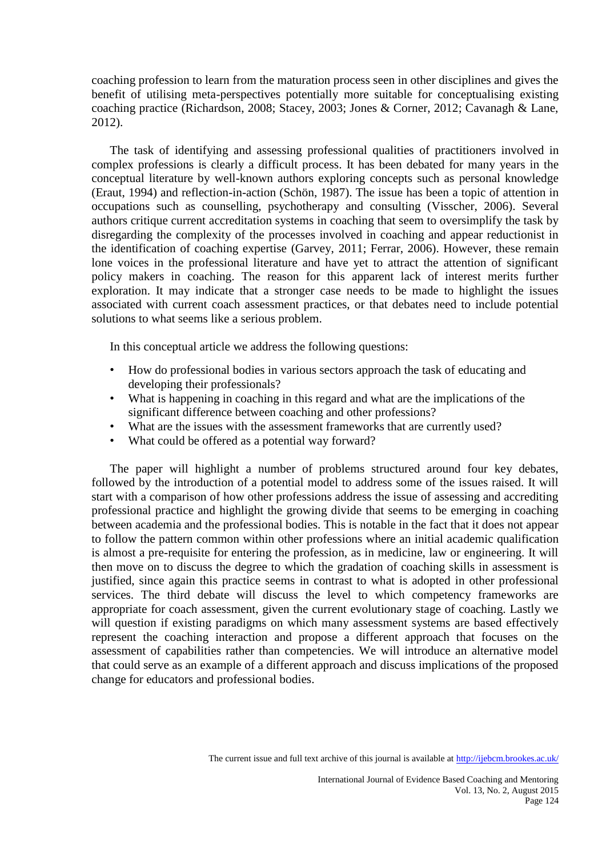coaching profession to learn from the maturation process seen in other disciplines and gives the benefit of utilising meta-perspectives potentially more suitable for conceptualising existing coaching practice (Richardson, 2008; Stacey, 2003; Jones & Corner, 2012; Cavanagh & Lane, 2012).

The task of identifying and assessing professional qualities of practitioners involved in complex professions is clearly a difficult process. It has been debated for many years in the conceptual literature by well-known authors exploring concepts such as personal knowledge (Eraut, 1994) and reflection-in-action (Schön, 1987). The issue has been a topic of attention in occupations such as counselling, psychotherapy and consulting (Visscher, 2006). Several authors critique current accreditation systems in coaching that seem to oversimplify the task by disregarding the complexity of the processes involved in coaching and appear reductionist in the identification of coaching expertise (Garvey, 2011; Ferrar, 2006). However, these remain lone voices in the professional literature and have yet to attract the attention of significant policy makers in coaching. The reason for this apparent lack of interest merits further exploration. It may indicate that a stronger case needs to be made to highlight the issues associated with current coach assessment practices, or that debates need to include potential solutions to what seems like a serious problem.

In this conceptual article we address the following questions:

- How do professional bodies in various sectors approach the task of educating and developing their professionals?
- What is happening in coaching in this regard and what are the implications of the significant difference between coaching and other professions?
- What are the issues with the assessment frameworks that are currently used?
- What could be offered as a potential way forward?

The paper will highlight a number of problems structured around four key debates, followed by the introduction of a potential model to address some of the issues raised. It will start with a comparison of how other professions address the issue of assessing and accrediting professional practice and highlight the growing divide that seems to be emerging in coaching between academia and the professional bodies. This is notable in the fact that it does not appear to follow the pattern common within other professions where an initial academic qualification is almost a pre-requisite for entering the profession, as in medicine, law or engineering. It will then move on to discuss the degree to which the gradation of coaching skills in assessment is justified, since again this practice seems in contrast to what is adopted in other professional services. The third debate will discuss the level to which competency frameworks are appropriate for coach assessment, given the current evolutionary stage of coaching. Lastly we will question if existing paradigms on which many assessment systems are based effectively represent the coaching interaction and propose a different approach that focuses on the assessment of capabilities rather than competencies. We will introduce an alternative model that could serve as an example of a different approach and discuss implications of the proposed change for educators and professional bodies.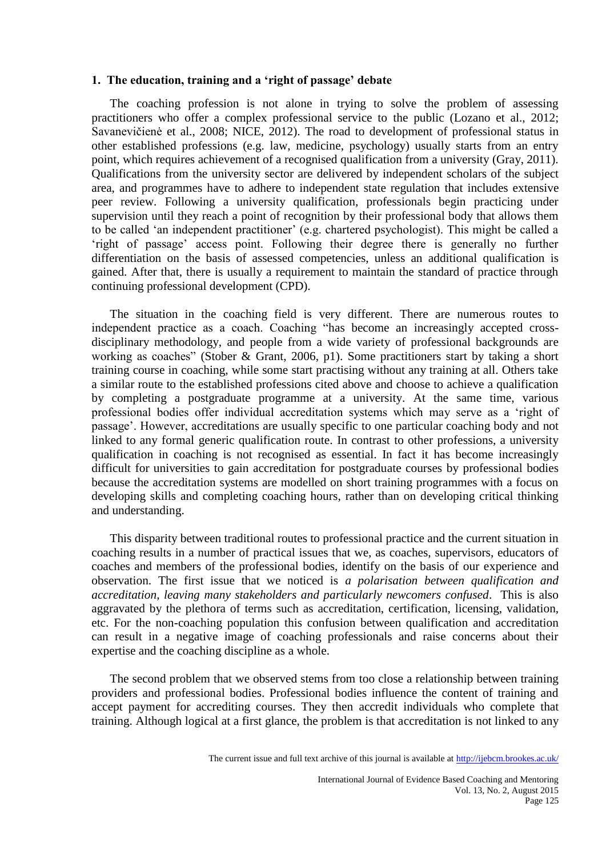#### **1. The education, training and a 'right of passage' debate**

The coaching profession is not alone in trying to solve the problem of assessing practitioners who offer a complex professional service to the public (Lozano et al., 2012; Savanevičienė et al., 2008; NICE, 2012). The road to development of professional status in other established professions (e.g. law, medicine, psychology) usually starts from an entry point, which requires achievement of a recognised qualification from a university (Gray, 2011). Qualifications from the university sector are delivered by independent scholars of the subject area, and programmes have to adhere to independent state regulation that includes extensive peer review. Following a university qualification, professionals begin practicing under supervision until they reach a point of recognition by their professional body that allows them to be called 'an independent practitioner' (e.g. chartered psychologist). This might be called a 'right of passage' access point. Following their degree there is generally no further differentiation on the basis of assessed competencies, unless an additional qualification is gained. After that, there is usually a requirement to maintain the standard of practice through continuing professional development (CPD).

The situation in the coaching field is very different. There are numerous routes to independent practice as a coach. Coaching "has become an increasingly accepted crossdisciplinary methodology, and people from a wide variety of professional backgrounds are working as coaches" (Stober & Grant, 2006, p1). Some practitioners start by taking a short training course in coaching, while some start practising without any training at all. Others take a similar route to the established professions cited above and choose to achieve a qualification by completing a postgraduate programme at a university. At the same time, various professional bodies offer individual accreditation systems which may serve as a 'right of passage'. However, accreditations are usually specific to one particular coaching body and not linked to any formal generic qualification route. In contrast to other professions, a university qualification in coaching is not recognised as essential. In fact it has become increasingly difficult for universities to gain accreditation for postgraduate courses by professional bodies because the accreditation systems are modelled on short training programmes with a focus on developing skills and completing coaching hours, rather than on developing critical thinking and understanding.

This disparity between traditional routes to professional practice and the current situation in coaching results in a number of practical issues that we, as coaches, supervisors, educators of coaches and members of the professional bodies, identify on the basis of our experience and observation. The first issue that we noticed is *a polarisation between qualification and accreditation, leaving many stakeholders and particularly newcomers confused*. This is also aggravated by the plethora of terms such as accreditation, certification, licensing, validation, etc. For the non-coaching population this confusion between qualification and accreditation can result in a negative image of coaching professionals and raise concerns about their expertise and the coaching discipline as a whole.

The second problem that we observed stems from too close a relationship between training providers and professional bodies. Professional bodies influence the content of training and accept payment for accrediting courses. They then accredit individuals who complete that training. Although logical at a first glance, the problem is that accreditation is not linked to any

The current issue and full text archive of this journal is available at <http://ijebcm.brookes.ac.uk/>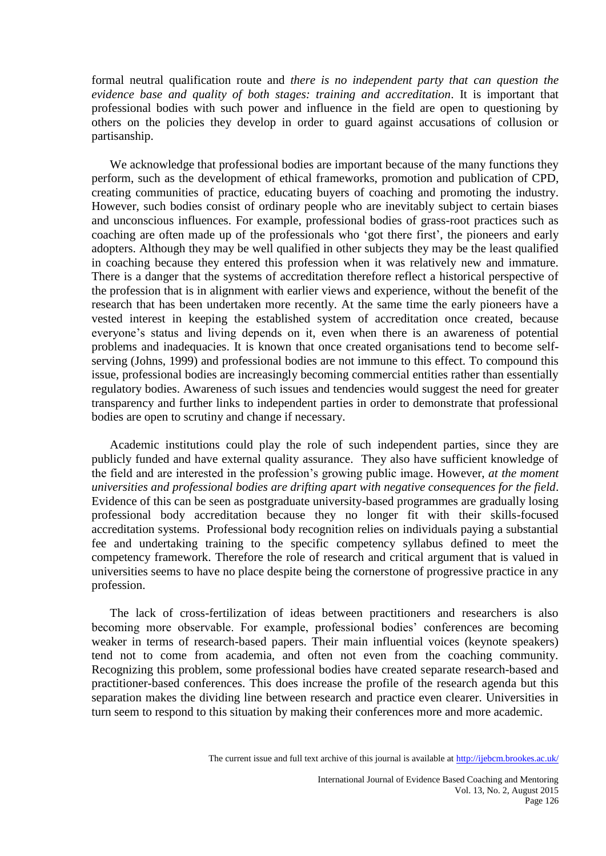formal neutral qualification route and *there is no independent party that can question the evidence base and quality of both stages: training and accreditation*. It is important that professional bodies with such power and influence in the field are open to questioning by others on the policies they develop in order to guard against accusations of collusion or partisanship.

We acknowledge that professional bodies are important because of the many functions they perform, such as the development of ethical frameworks, promotion and publication of CPD, creating communities of practice, educating buyers of coaching and promoting the industry. However, such bodies consist of ordinary people who are inevitably subject to certain biases and unconscious influences. For example, professional bodies of grass-root practices such as coaching are often made up of the professionals who 'got there first', the pioneers and early adopters. Although they may be well qualified in other subjects they may be the least qualified in coaching because they entered this profession when it was relatively new and immature. There is a danger that the systems of accreditation therefore reflect a historical perspective of the profession that is in alignment with earlier views and experience, without the benefit of the research that has been undertaken more recently. At the same time the early pioneers have a vested interest in keeping the established system of accreditation once created, because everyone's status and living depends on it, even when there is an awareness of potential problems and inadequacies. It is known that once created organisations tend to become selfserving (Johns, 1999) and professional bodies are not immune to this effect. To compound this issue, professional bodies are increasingly becoming commercial entities rather than essentially regulatory bodies. Awareness of such issues and tendencies would suggest the need for greater transparency and further links to independent parties in order to demonstrate that professional bodies are open to scrutiny and change if necessary.

Academic institutions could play the role of such independent parties, since they are publicly funded and have external quality assurance. They also have sufficient knowledge of the field and are interested in the profession's growing public image. However, *at the moment universities and professional bodies are drifting apart with negative consequences for the field*. Evidence of this can be seen as postgraduate university-based programmes are gradually losing professional body accreditation because they no longer fit with their skills-focused accreditation systems. Professional body recognition relies on individuals paying a substantial fee and undertaking training to the specific competency syllabus defined to meet the competency framework. Therefore the role of research and critical argument that is valued in universities seems to have no place despite being the cornerstone of progressive practice in any profession.

The lack of cross-fertilization of ideas between practitioners and researchers is also becoming more observable. For example, professional bodies' conferences are becoming weaker in terms of research-based papers. Their main influential voices (keynote speakers) tend not to come from academia, and often not even from the coaching community. Recognizing this problem, some professional bodies have created separate research-based and practitioner-based conferences. This does increase the profile of the research agenda but this separation makes the dividing line between research and practice even clearer. Universities in turn seem to respond to this situation by making their conferences more and more academic.

The current issue and full text archive of this journal is available at <http://ijebcm.brookes.ac.uk/>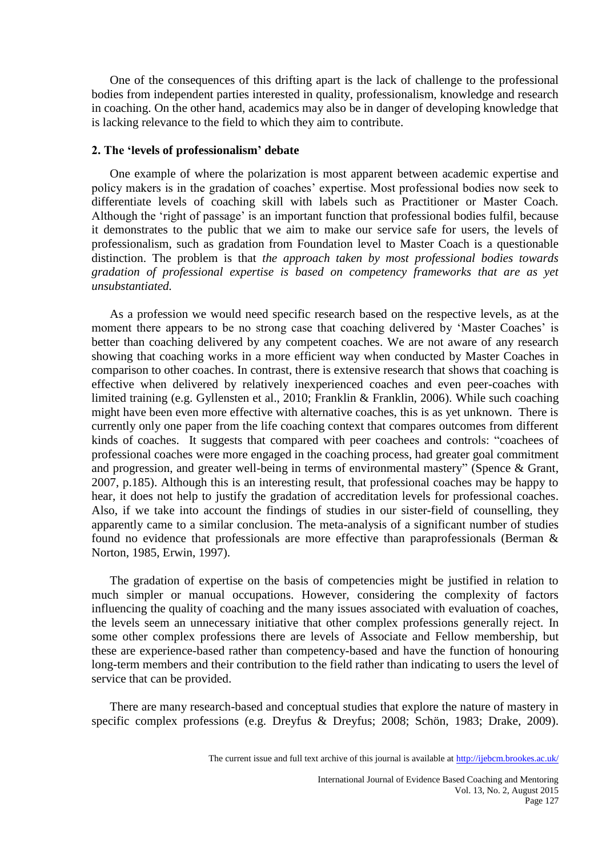One of the consequences of this drifting apart is the lack of challenge to the professional bodies from independent parties interested in quality, professionalism, knowledge and research in coaching. On the other hand, academics may also be in danger of developing knowledge that is lacking relevance to the field to which they aim to contribute.

#### **2. The 'levels of professionalism' debate**

One example of where the polarization is most apparent between academic expertise and policy makers is in the gradation of coaches' expertise. Most professional bodies now seek to differentiate levels of coaching skill with labels such as Practitioner or Master Coach. Although the 'right of passage' is an important function that professional bodies fulfil, because it demonstrates to the public that we aim to make our service safe for users, the levels of professionalism, such as gradation from Foundation level to Master Coach is a questionable distinction. The problem is that *the approach taken by most professional bodies towards gradation of professional expertise is based on competency frameworks that are as yet unsubstantiated.*

As a profession we would need specific research based on the respective levels, as at the moment there appears to be no strong case that coaching delivered by 'Master Coaches' is better than coaching delivered by any competent coaches. We are not aware of any research showing that coaching works in a more efficient way when conducted by Master Coaches in comparison to other coaches. In contrast, there is extensive research that shows that coaching is effective when delivered by relatively inexperienced coaches and even peer-coaches with limited training (e.g. Gyllensten et al., 2010; Franklin & Franklin, 2006). While such coaching might have been even more effective with alternative coaches, this is as yet unknown. There is currently only one paper from the life coaching context that compares outcomes from different kinds of coaches. It suggests that compared with peer coachees and controls: "coachees of professional coaches were more engaged in the coaching process, had greater goal commitment and progression, and greater well-being in terms of environmental mastery" (Spence & Grant, 2007, p.185). Although this is an interesting result, that professional coaches may be happy to hear, it does not help to justify the gradation of accreditation levels for professional coaches. Also, if we take into account the findings of studies in our sister-field of counselling, they apparently came to a similar conclusion. The meta-analysis of a significant number of studies found no evidence that professionals are more effective than paraprofessionals (Berman & Norton, 1985, Erwin, 1997).

The gradation of expertise on the basis of competencies might be justified in relation to much simpler or manual occupations. However, considering the complexity of factors influencing the quality of coaching and the many issues associated with evaluation of coaches, the levels seem an unnecessary initiative that other complex professions generally reject. In some other complex professions there are levels of Associate and Fellow membership, but these are experience-based rather than competency-based and have the function of honouring long-term members and their contribution to the field rather than indicating to users the level of service that can be provided.

There are many research-based and conceptual studies that explore the nature of mastery in specific complex professions (e.g. Dreyfus & Dreyfus; 2008; Schön, 1983; Drake, 2009).

The current issue and full text archive of this journal is available at <http://ijebcm.brookes.ac.uk/>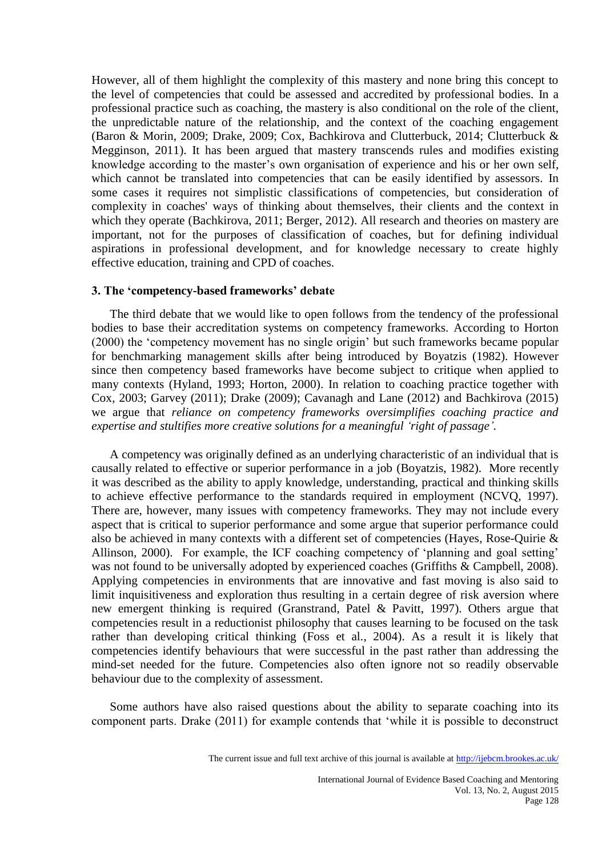However, all of them highlight the complexity of this mastery and none bring this concept to the level of competencies that could be assessed and accredited by professional bodies. In a professional practice such as coaching, the mastery is also conditional on the role of the client, the unpredictable nature of the relationship, and the context of the coaching engagement (Baron & Morin, 2009; Drake, 2009; Cox, Bachkirova and Clutterbuck, 2014; Clutterbuck & Megginson, 2011). It has been argued that mastery transcends rules and modifies existing knowledge according to the master's own organisation of experience and his or her own self, which cannot be translated into competencies that can be easily identified by assessors. In some cases it requires not simplistic classifications of competencies, but consideration of complexity in coaches' ways of thinking about themselves, their clients and the context in which they operate (Bachkirova, 2011; Berger, 2012). All research and theories on mastery are important, not for the purposes of classification of coaches, but for defining individual aspirations in professional development, and for knowledge necessary to create highly effective education, training and CPD of coaches.

#### **3. The 'competency-based frameworks' debate**

The third debate that we would like to open follows from the tendency of the professional bodies to base their accreditation systems on competency frameworks. According to Horton (2000) the 'competency movement has no single origin' but such frameworks became popular for benchmarking management skills after being introduced by Boyatzis (1982). However since then competency based frameworks have become subject to critique when applied to many contexts (Hyland, 1993; Horton, 2000). In relation to coaching practice together with Cox, 2003; Garvey (2011); Drake (2009); Cavanagh and Lane (2012) and Bachkirova (2015) we argue that *reliance on competency frameworks oversimplifies coaching practice and expertise and stultifies more creative solutions for a meaningful 'right of passage'.*

A competency was originally defined as an underlying characteristic of an individual that is causally related to effective or superior performance in a job (Boyatzis, 1982). More recently it was described as the ability to apply knowledge, understanding, practical and thinking skills to achieve effective performance to the standards required in employment (NCVQ, 1997). There are, however, many issues with competency frameworks. They may not include every aspect that is critical to superior performance and some argue that superior performance could also be achieved in many contexts with a different set of competencies (Hayes, Rose-Quirie & Allinson, 2000). For example, the ICF coaching competency of 'planning and goal setting' was not found to be universally adopted by experienced coaches (Griffiths & Campbell, 2008). Applying competencies in environments that are innovative and fast moving is also said to limit inquisitiveness and exploration thus resulting in a certain degree of risk aversion where new emergent thinking is required (Granstrand, Patel & Pavitt, 1997). Others argue that competencies result in a reductionist philosophy that causes learning to be focused on the task rather than developing critical thinking (Foss et al., 2004). As a result it is likely that competencies identify behaviours that were successful in the past rather than addressing the mind-set needed for the future. Competencies also often ignore not so readily observable behaviour due to the complexity of assessment.

Some authors have also raised questions about the ability to separate coaching into its component parts. Drake (2011) for example contends that 'while it is possible to deconstruct

The current issue and full text archive of this journal is available at <http://ijebcm.brookes.ac.uk/>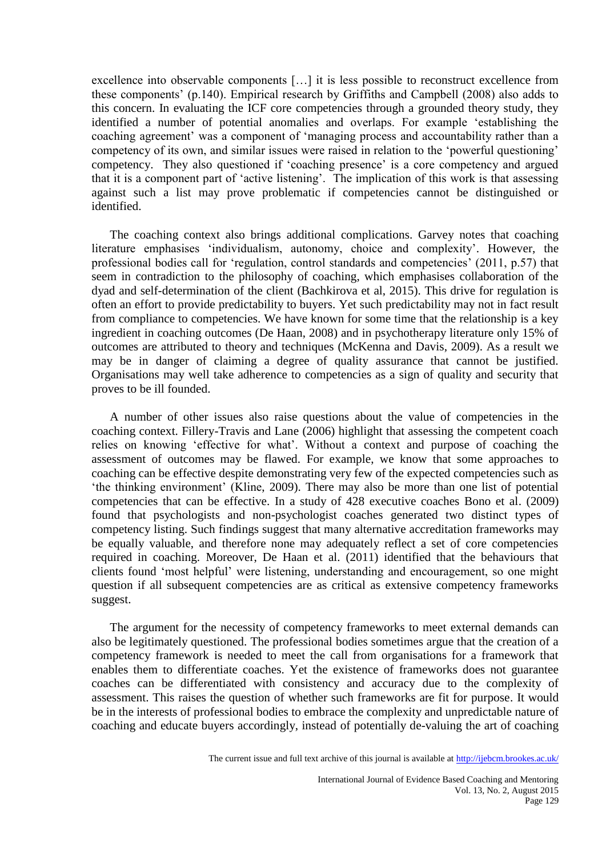excellence into observable components […] it is less possible to reconstruct excellence from these components' (p.140). Empirical research by Griffiths and Campbell (2008) also adds to this concern. In evaluating the ICF core competencies through a grounded theory study, they identified a number of potential anomalies and overlaps. For example 'establishing the coaching agreement' was a component of 'managing process and accountability rather than a competency of its own, and similar issues were raised in relation to the 'powerful questioning' competency. They also questioned if 'coaching presence' is a core competency and argued that it is a component part of 'active listening'. The implication of this work is that assessing against such a list may prove problematic if competencies cannot be distinguished or identified.

The coaching context also brings additional complications. Garvey notes that coaching literature emphasises 'individualism, autonomy, choice and complexity'. However, the professional bodies call for 'regulation, control standards and competencies' (2011, p.57) that seem in contradiction to the philosophy of coaching, which emphasises collaboration of the dyad and self-determination of the client (Bachkirova et al, 2015). This drive for regulation is often an effort to provide predictability to buyers. Yet such predictability may not in fact result from compliance to competencies. We have known for some time that the relationship is a key ingredient in coaching outcomes (De Haan, 2008) and in psychotherapy literature only 15% of outcomes are attributed to theory and techniques (McKenna and Davis, 2009). As a result we may be in danger of claiming a degree of quality assurance that cannot be justified. Organisations may well take adherence to competencies as a sign of quality and security that proves to be ill founded.

A number of other issues also raise questions about the value of competencies in the coaching context. Fillery-Travis and Lane (2006) highlight that assessing the competent coach relies on knowing 'effective for what'. Without a context and purpose of coaching the assessment of outcomes may be flawed. For example, we know that some approaches to coaching can be effective despite demonstrating very few of the expected competencies such as 'the thinking environment' (Kline, 2009). There may also be more than one list of potential competencies that can be effective. In a study of 428 executive coaches Bono et al. (2009) found that psychologists and non-psychologist coaches generated two distinct types of competency listing. Such findings suggest that many alternative accreditation frameworks may be equally valuable, and therefore none may adequately reflect a set of core competencies required in coaching. Moreover, De Haan et al. (2011) identified that the behaviours that clients found 'most helpful' were listening, understanding and encouragement, so one might question if all subsequent competencies are as critical as extensive competency frameworks suggest.

The argument for the necessity of competency frameworks to meet external demands can also be legitimately questioned. The professional bodies sometimes argue that the creation of a competency framework is needed to meet the call from organisations for a framework that enables them to differentiate coaches. Yet the existence of frameworks does not guarantee coaches can be differentiated with consistency and accuracy due to the complexity of assessment. This raises the question of whether such frameworks are fit for purpose. It would be in the interests of professional bodies to embrace the complexity and unpredictable nature of coaching and educate buyers accordingly, instead of potentially de-valuing the art of coaching

The current issue and full text archive of this journal is available at <http://ijebcm.brookes.ac.uk/>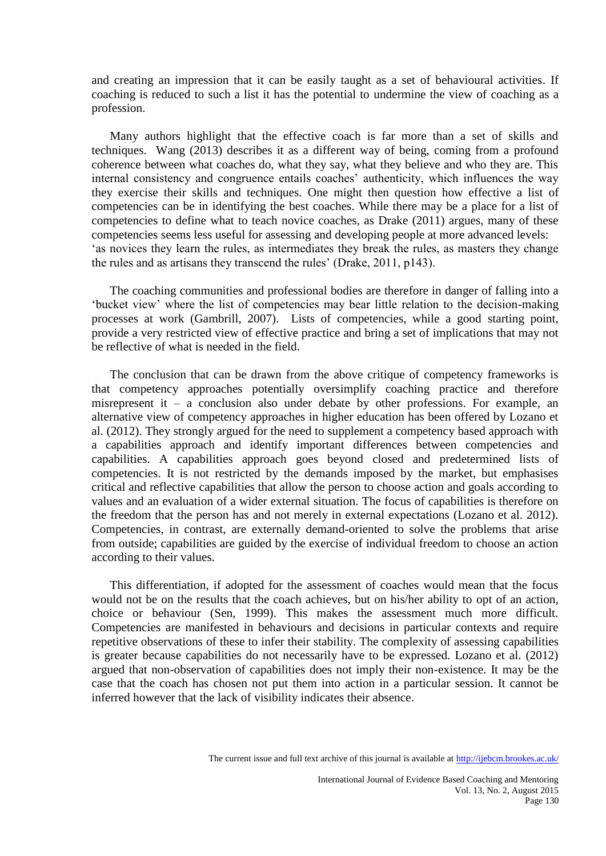and creating an impression that it can be easily taught as a set of behavioural activities. If coaching is reduced to such a list it has the potential to undermine the view of coaching as a profession.

Many authors highlight that the effective coach is far more than a set of skills and techniques. Wang (2013) describes it as a different way of being, coming from a profound coherence between what coaches do, what they say, what they believe and who they are. This internal consistency and congruence entails coaches' authenticity, which influences the way they exercise their skills and techniques. One might then question how effective a list of competencies can be in identifying the best coaches. While there may be a place for a list of competencies to define what to teach novice coaches, as Drake (2011) argues, many of these competencies seems less useful for assessing and developing people at more advanced levels: 'as novices they learn the rules, as intermediates they break the rules, as masters they change the rules and as artisans they transcend the rules' (Drake, 2011, p143).

The coaching communities and professional bodies are therefore in danger of falling into a 'bucket view' where the list of competencies may bear little relation to the decision-making processes at work (Gambrill, 2007). Lists of competencies, while a good starting point, provide a very restricted view of effective practice and bring a set of implications that may not be reflective of what is needed in the field.

The conclusion that can be drawn from the above critique of competency frameworks is that competency approaches potentially oversimplify coaching practice and therefore misrepresent it – a conclusion also under debate by other professions. For example, an alternative view of competency approaches in higher education has been offered by Lozano et al. (2012). They strongly argued for the need to supplement a competency based approach with a capabilities approach and identify important differences between competencies and capabilities. A capabilities approach goes beyond closed and predetermined lists of competencies. It is not restricted by the demands imposed by the market, but emphasises critical and reflective capabilities that allow the person to choose action and goals according to values and an evaluation of a wider external situation. The focus of capabilities is therefore on the freedom that the person has and not merely in external expectations (Lozano et al. 2012). Competencies, in contrast, are externally demand-oriented to solve the problems that arise from outside; capabilities are guided by the exercise of individual freedom to choose an action according to their values.

This differentiation, if adopted for the assessment of coaches would mean that the focus would not be on the results that the coach achieves, but on his/her ability to opt of an action, choice or behaviour (Sen, 1999). This makes the assessment much more difficult. Competencies are manifested in behaviours and decisions in particular contexts and require repetitive observations of these to infer their stability. The complexity of assessing capabilities is greater because capabilities do not necessarily have to be expressed. Lozano et al. (2012) argued that non-observation of capabilities does not imply their non-existence. It may be the case that the coach has chosen not put them into action in a particular session. It cannot be inferred however that the lack of visibility indicates their absence.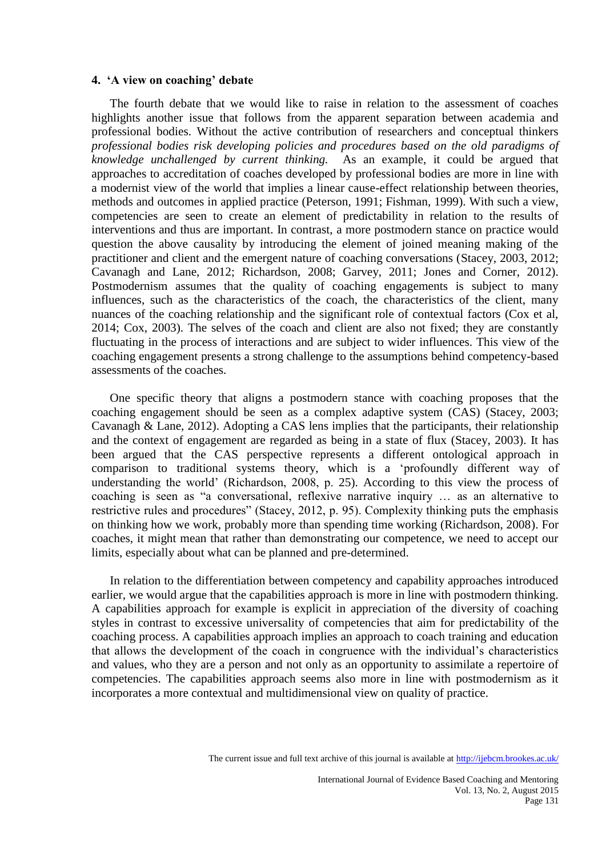#### **4. 'A view on coaching' debate**

The fourth debate that we would like to raise in relation to the assessment of coaches highlights another issue that follows from the apparent separation between academia and professional bodies. Without the active contribution of researchers and conceptual thinkers *professional bodies risk developing policies and procedures based on the old paradigms of knowledge unchallenged by current thinking.* As an example, it could be argued that approaches to accreditation of coaches developed by professional bodies are more in line with a modernist view of the world that implies a linear cause-effect relationship between theories, methods and outcomes in applied practice (Peterson, 1991; Fishman, 1999). With such a view, competencies are seen to create an element of predictability in relation to the results of interventions and thus are important. In contrast, a more postmodern stance on practice would question the above causality by introducing the element of joined meaning making of the practitioner and client and the emergent nature of coaching conversations (Stacey, 2003, 2012; Cavanagh and Lane, 2012; Richardson, 2008; Garvey, 2011; Jones and Corner, 2012). Postmodernism assumes that the quality of coaching engagements is subject to many influences, such as the characteristics of the coach, the characteristics of the client, many nuances of the coaching relationship and the significant role of contextual factors (Cox et al, 2014; Cox, 2003). The selves of the coach and client are also not fixed; they are constantly fluctuating in the process of interactions and are subject to wider influences. This view of the coaching engagement presents a strong challenge to the assumptions behind competency-based assessments of the coaches.

One specific theory that aligns a postmodern stance with coaching proposes that the coaching engagement should be seen as a complex adaptive system (CAS) (Stacey, 2003; Cavanagh & Lane, 2012). Adopting a CAS lens implies that the participants, their relationship and the context of engagement are regarded as being in a state of flux (Stacey, 2003). It has been argued that the CAS perspective represents a different ontological approach in comparison to traditional systems theory, which is a 'profoundly different way of understanding the world' (Richardson, 2008, p. 25). According to this view the process of coaching is seen as "a conversational, reflexive narrative inquiry … as an alternative to restrictive rules and procedures" (Stacey, 2012, p. 95). Complexity thinking puts the emphasis on thinking how we work, probably more than spending time working (Richardson, 2008). For coaches, it might mean that rather than demonstrating our competence, we need to accept our limits, especially about what can be planned and pre-determined.

In relation to the differentiation between competency and capability approaches introduced earlier, we would argue that the capabilities approach is more in line with postmodern thinking. A capabilities approach for example is explicit in appreciation of the diversity of coaching styles in contrast to excessive universality of competencies that aim for predictability of the coaching process. A capabilities approach implies an approach to coach training and education that allows the development of the coach in congruence with the individual's characteristics and values, who they are a person and not only as an opportunity to assimilate a repertoire of competencies. The capabilities approach seems also more in line with postmodernism as it incorporates a more contextual and multidimensional view on quality of practice.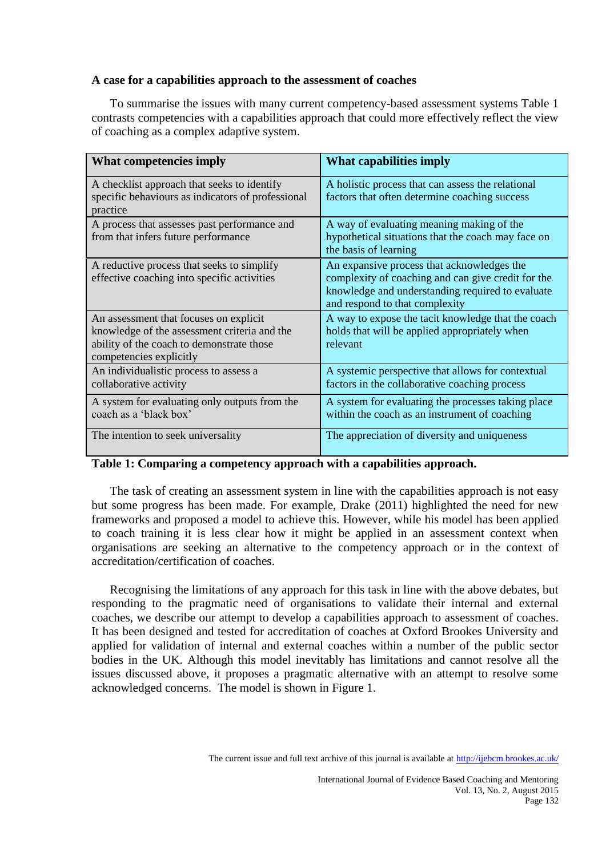### **A case for a capabilities approach to the assessment of coaches**

To summarise the issues with many current competency-based assessment systems Table 1 contrasts competencies with a capabilities approach that could more effectively reflect the view of coaching as a complex adaptive system.

| <b>What competencies imply</b>                                                                                                                                 | What capabilities imply                                                                                                                                                                |
|----------------------------------------------------------------------------------------------------------------------------------------------------------------|----------------------------------------------------------------------------------------------------------------------------------------------------------------------------------------|
| A checklist approach that seeks to identify<br>specific behaviours as indicators of professional<br>practice                                                   | A holistic process that can assess the relational<br>factors that often determine coaching success                                                                                     |
| A process that assesses past performance and<br>from that infers future performance                                                                            | A way of evaluating meaning making of the<br>hypothetical situations that the coach may face on<br>the basis of learning                                                               |
| A reductive process that seeks to simplify<br>effective coaching into specific activities                                                                      | An expansive process that acknowledges the<br>complexity of coaching and can give credit for the<br>knowledge and understanding required to evaluate<br>and respond to that complexity |
| An assessment that focuses on explicit<br>knowledge of the assessment criteria and the<br>ability of the coach to demonstrate those<br>competencies explicitly | A way to expose the tacit knowledge that the coach<br>holds that will be applied appropriately when<br>relevant                                                                        |
| An individualistic process to assess a<br>collaborative activity                                                                                               | A systemic perspective that allows for contextual<br>factors in the collaborative coaching process                                                                                     |
| A system for evaluating only outputs from the<br>coach as a 'black box'                                                                                        | A system for evaluating the processes taking place<br>within the coach as an instrument of coaching                                                                                    |
| The intention to seek universality                                                                                                                             | The appreciation of diversity and uniqueness                                                                                                                                           |

# **Table 1: Comparing a competency approach with a capabilities approach.**

The task of creating an assessment system in line with the capabilities approach is not easy but some progress has been made. For example, Drake (2011) highlighted the need for new frameworks and proposed a model to achieve this. However, while his model has been applied to coach training it is less clear how it might be applied in an assessment context when organisations are seeking an alternative to the competency approach or in the context of accreditation/certification of coaches.

Recognising the limitations of any approach for this task in line with the above debates, but responding to the pragmatic need of organisations to validate their internal and external coaches, we describe our attempt to develop a capabilities approach to assessment of coaches. It has been designed and tested for accreditation of coaches at Oxford Brookes University and applied for validation of internal and external coaches within a number of the public sector bodies in the UK. Although this model inevitably has limitations and cannot resolve all the issues discussed above, it proposes a pragmatic alternative with an attempt to resolve some acknowledged concerns. The model is shown in Figure 1.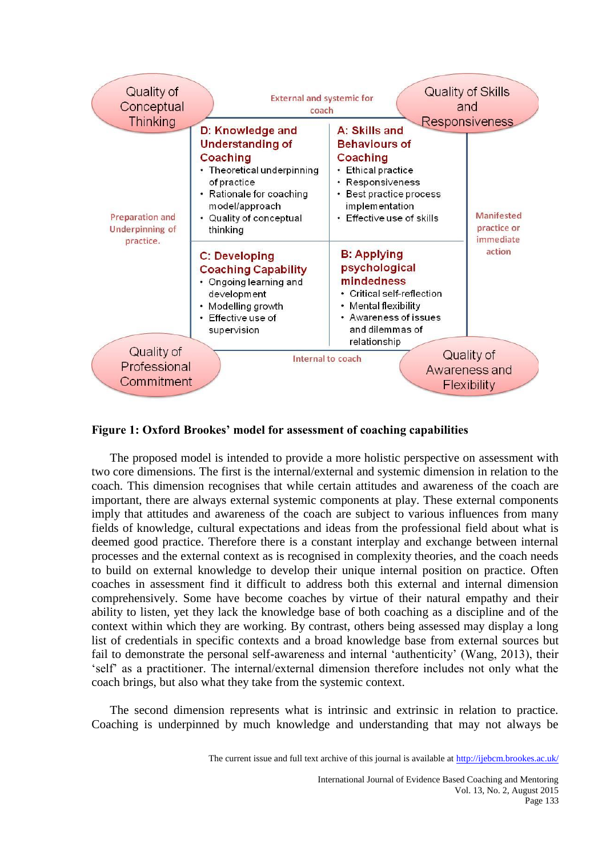

#### **Figure 1: Oxford Brookes' model for assessment of coaching capabilities**

The proposed model is intended to provide a more holistic perspective on assessment with two core dimensions. The first is the internal/external and systemic dimension in relation to the coach. This dimension recognises that while certain attitudes and awareness of the coach are important, there are always external systemic components at play. These external components imply that attitudes and awareness of the coach are subject to various influences from many fields of knowledge, cultural expectations and ideas from the professional field about what is deemed good practice. Therefore there is a constant interplay and exchange between internal processes and the external context as is recognised in complexity theories, and the coach needs to build on external knowledge to develop their unique internal position on practice. Often coaches in assessment find it difficult to address both this external and internal dimension comprehensively. Some have become coaches by virtue of their natural empathy and their ability to listen, yet they lack the knowledge base of both coaching as a discipline and of the context within which they are working. By contrast, others being assessed may display a long list of credentials in specific contexts and a broad knowledge base from external sources but fail to demonstrate the personal self-awareness and internal 'authenticity' (Wang, 2013), their 'self' as a practitioner. The internal/external dimension therefore includes not only what the coach brings, but also what they take from the systemic context.

The second dimension represents what is intrinsic and extrinsic in relation to practice. Coaching is underpinned by much knowledge and understanding that may not always be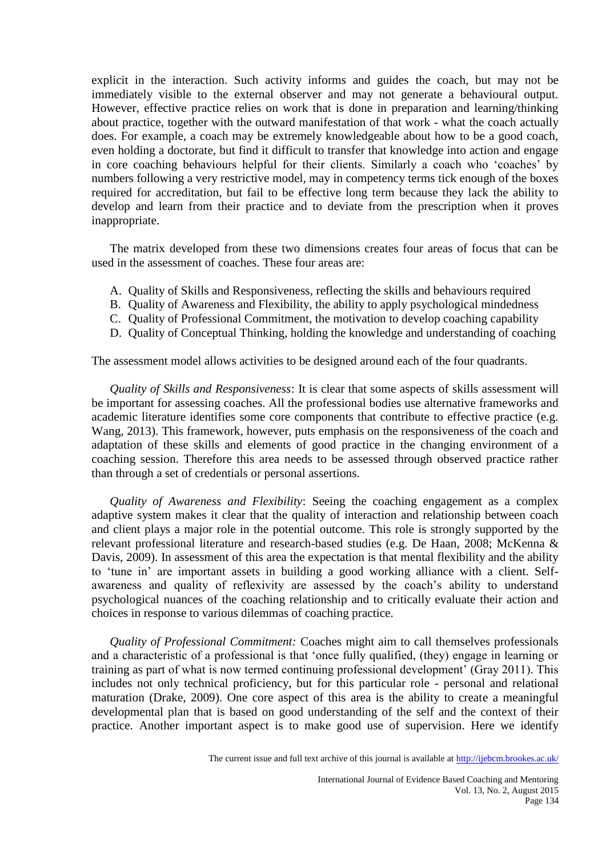explicit in the interaction. Such activity informs and guides the coach, but may not be immediately visible to the external observer and may not generate a behavioural output. However, effective practice relies on work that is done in preparation and learning/thinking about practice, together with the outward manifestation of that work - what the coach actually does. For example, a coach may be extremely knowledgeable about how to be a good coach, even holding a doctorate, but find it difficult to transfer that knowledge into action and engage in core coaching behaviours helpful for their clients. Similarly a coach who 'coaches' by numbers following a very restrictive model, may in competency terms tick enough of the boxes required for accreditation, but fail to be effective long term because they lack the ability to develop and learn from their practice and to deviate from the prescription when it proves inappropriate.

The matrix developed from these two dimensions creates four areas of focus that can be used in the assessment of coaches. These four areas are:

- A. Quality of Skills and Responsiveness, reflecting the skills and behaviours required
- B. Quality of Awareness and Flexibility, the ability to apply psychological mindedness
- C. Quality of Professional Commitment, the motivation to develop coaching capability
- D. Quality of Conceptual Thinking, holding the knowledge and understanding of coaching

The assessment model allows activities to be designed around each of the four quadrants.

*Quality of Skills and Responsiveness*: It is clear that some aspects of skills assessment will be important for assessing coaches. All the professional bodies use alternative frameworks and academic literature identifies some core components that contribute to effective practice (e.g. Wang, 2013). This framework, however, puts emphasis on the responsiveness of the coach and adaptation of these skills and elements of good practice in the changing environment of a coaching session. Therefore this area needs to be assessed through observed practice rather than through a set of credentials or personal assertions.

*Quality of Awareness and Flexibility*: Seeing the coaching engagement as a complex adaptive system makes it clear that the quality of interaction and relationship between coach and client plays a major role in the potential outcome. This role is strongly supported by the relevant professional literature and research-based studies (e.g. De Haan, 2008; McKenna & Davis, 2009). In assessment of this area the expectation is that mental flexibility and the ability to 'tune in' are important assets in building a good working alliance with a client. Selfawareness and quality of reflexivity are assessed by the coach's ability to understand psychological nuances of the coaching relationship and to critically evaluate their action and choices in response to various dilemmas of coaching practice.

*Quality of Professional Commitment:* Coaches might aim to call themselves professionals and a characteristic of a professional is that 'once fully qualified, (they) engage in learning or training as part of what is now termed continuing professional development' (Gray 2011). This includes not only technical proficiency, but for this particular role - personal and relational maturation (Drake, 2009). One core aspect of this area is the ability to create a meaningful developmental plan that is based on good understanding of the self and the context of their practice. Another important aspect is to make good use of supervision. Here we identify

The current issue and full text archive of this journal is available at <http://ijebcm.brookes.ac.uk/>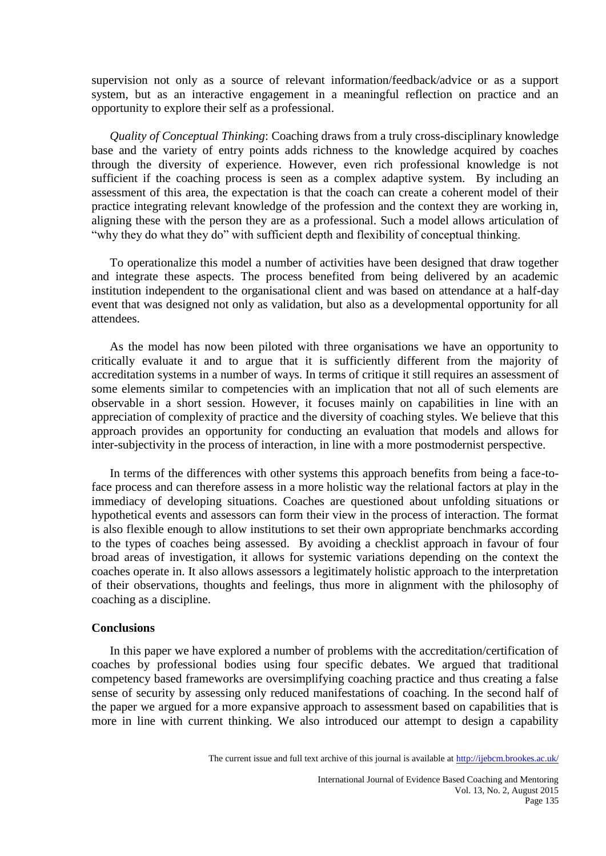supervision not only as a source of relevant information/feedback/advice or as a support system, but as an interactive engagement in a meaningful reflection on practice and an opportunity to explore their self as a professional.

*Quality of Conceptual Thinking*: Coaching draws from a truly cross-disciplinary knowledge base and the variety of entry points adds richness to the knowledge acquired by coaches through the diversity of experience. However, even rich professional knowledge is not sufficient if the coaching process is seen as a complex adaptive system. By including an assessment of this area, the expectation is that the coach can create a coherent model of their practice integrating relevant knowledge of the profession and the context they are working in, aligning these with the person they are as a professional. Such a model allows articulation of "why they do what they do" with sufficient depth and flexibility of conceptual thinking.

To operationalize this model a number of activities have been designed that draw together and integrate these aspects. The process benefited from being delivered by an academic institution independent to the organisational client and was based on attendance at a half-day event that was designed not only as validation, but also as a developmental opportunity for all attendees.

As the model has now been piloted with three organisations we have an opportunity to critically evaluate it and to argue that it is sufficiently different from the majority of accreditation systems in a number of ways. In terms of critique it still requires an assessment of some elements similar to competencies with an implication that not all of such elements are observable in a short session. However, it focuses mainly on capabilities in line with an appreciation of complexity of practice and the diversity of coaching styles. We believe that this approach provides an opportunity for conducting an evaluation that models and allows for inter-subjectivity in the process of interaction, in line with a more postmodernist perspective.

In terms of the differences with other systems this approach benefits from being a face-toface process and can therefore assess in a more holistic way the relational factors at play in the immediacy of developing situations. Coaches are questioned about unfolding situations or hypothetical events and assessors can form their view in the process of interaction. The format is also flexible enough to allow institutions to set their own appropriate benchmarks according to the types of coaches being assessed. By avoiding a checklist approach in favour of four broad areas of investigation, it allows for systemic variations depending on the context the coaches operate in. It also allows assessors a legitimately holistic approach to the interpretation of their observations, thoughts and feelings, thus more in alignment with the philosophy of coaching as a discipline.

#### **Conclusions**

In this paper we have explored a number of problems with the accreditation/certification of coaches by professional bodies using four specific debates. We argued that traditional competency based frameworks are oversimplifying coaching practice and thus creating a false sense of security by assessing only reduced manifestations of coaching. In the second half of the paper we argued for a more expansive approach to assessment based on capabilities that is more in line with current thinking. We also introduced our attempt to design a capability

The current issue and full text archive of this journal is available at <http://ijebcm.brookes.ac.uk/>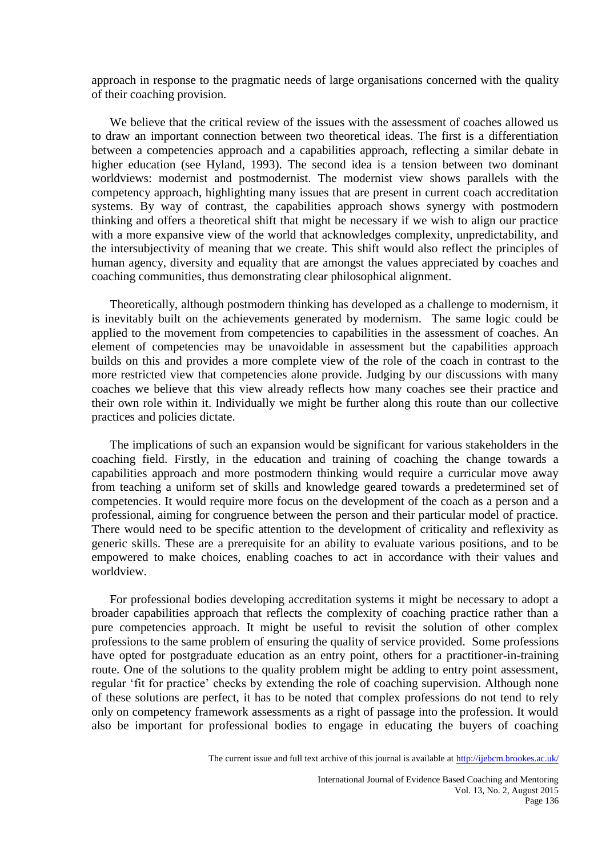approach in response to the pragmatic needs of large organisations concerned with the quality of their coaching provision.

We believe that the critical review of the issues with the assessment of coaches allowed us to draw an important connection between two theoretical ideas. The first is a differentiation between a competencies approach and a capabilities approach, reflecting a similar debate in higher education (see Hyland, 1993). The second idea is a tension between two dominant worldviews: modernist and postmodernist. The modernist view shows parallels with the competency approach, highlighting many issues that are present in current coach accreditation systems. By way of contrast, the capabilities approach shows synergy with postmodern thinking and offers a theoretical shift that might be necessary if we wish to align our practice with a more expansive view of the world that acknowledges complexity, unpredictability, and the intersubjectivity of meaning that we create. This shift would also reflect the principles of human agency, diversity and equality that are amongst the values appreciated by coaches and coaching communities, thus demonstrating clear philosophical alignment.

Theoretically, although postmodern thinking has developed as a challenge to modernism, it is inevitably built on the achievements generated by modernism. The same logic could be applied to the movement from competencies to capabilities in the assessment of coaches. An element of competencies may be unavoidable in assessment but the capabilities approach builds on this and provides a more complete view of the role of the coach in contrast to the more restricted view that competencies alone provide. Judging by our discussions with many coaches we believe that this view already reflects how many coaches see their practice and their own role within it. Individually we might be further along this route than our collective practices and policies dictate.

The implications of such an expansion would be significant for various stakeholders in the coaching field. Firstly, in the education and training of coaching the change towards a capabilities approach and more postmodern thinking would require a curricular move away from teaching a uniform set of skills and knowledge geared towards a predetermined set of competencies. It would require more focus on the development of the coach as a person and a professional, aiming for congruence between the person and their particular model of practice. There would need to be specific attention to the development of criticality and reflexivity as generic skills. These are a prerequisite for an ability to evaluate various positions, and to be empowered to make choices, enabling coaches to act in accordance with their values and worldview.

For professional bodies developing accreditation systems it might be necessary to adopt a broader capabilities approach that reflects the complexity of coaching practice rather than a pure competencies approach. It might be useful to revisit the solution of other complex professions to the same problem of ensuring the quality of service provided. Some professions have opted for postgraduate education as an entry point, others for a practitioner-in-training route. One of the solutions to the quality problem might be adding to entry point assessment, regular 'fit for practice' checks by extending the role of coaching supervision. Although none of these solutions are perfect, it has to be noted that complex professions do not tend to rely only on competency framework assessments as a right of passage into the profession. It would also be important for professional bodies to engage in educating the buyers of coaching

The current issue and full text archive of this journal is available at <http://ijebcm.brookes.ac.uk/>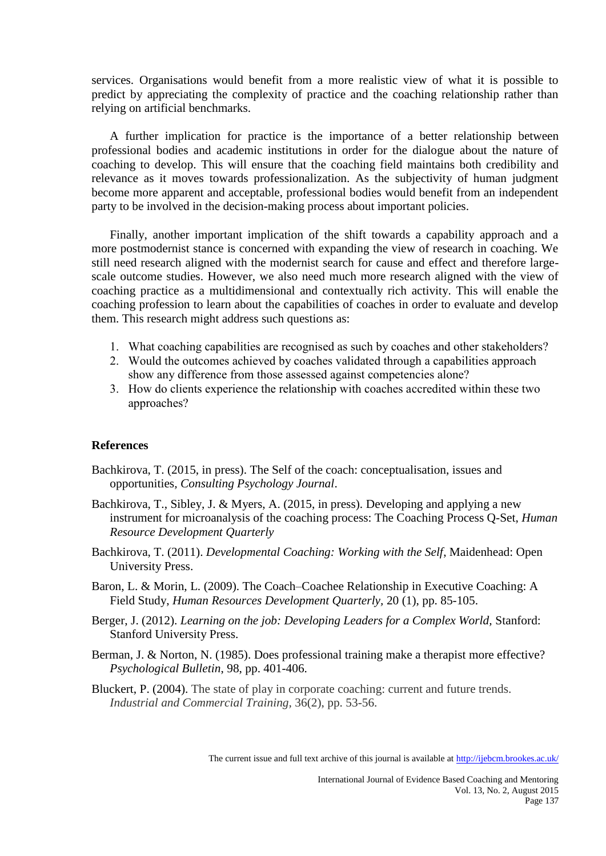services. Organisations would benefit from a more realistic view of what it is possible to predict by appreciating the complexity of practice and the coaching relationship rather than relying on artificial benchmarks.

A further implication for practice is the importance of a better relationship between professional bodies and academic institutions in order for the dialogue about the nature of coaching to develop. This will ensure that the coaching field maintains both credibility and relevance as it moves towards professionalization. As the subjectivity of human judgment become more apparent and acceptable, professional bodies would benefit from an independent party to be involved in the decision-making process about important policies.

Finally, another important implication of the shift towards a capability approach and a more postmodernist stance is concerned with expanding the view of research in coaching. We still need research aligned with the modernist search for cause and effect and therefore largescale outcome studies. However, we also need much more research aligned with the view of coaching practice as a multidimensional and contextually rich activity. This will enable the coaching profession to learn about the capabilities of coaches in order to evaluate and develop them. This research might address such questions as:

- 1. What coaching capabilities are recognised as such by coaches and other stakeholders?
- 2. Would the outcomes achieved by coaches validated through a capabilities approach show any difference from those assessed against competencies alone?
- 3. How do clients experience the relationship with coaches accredited within these two approaches?

#### **References**

- Bachkirova, T. (2015, in press). The Self of the coach: conceptualisation, issues and opportunities*, Consulting Psychology Journal*.
- Bachkirova, T., Sibley, J. & Myers, A. (2015, in press). Developing and applying a new instrument for microanalysis of the coaching process: The Coaching Process Q-Set, *Human Resource Development Quarterly*
- Bachkirova, T. (2011). *Developmental Coaching: Working with the Self*, Maidenhead: Open University Press.
- Baron, L. & Morin, L. (2009). The Coach–Coachee Relationship in Executive Coaching: A Field Study, *Human Resources Development Quarterly,* 20 (1), pp. 85-105.
- Berger, J. (2012). *Learning on the job: Developing Leaders for a Complex World,* Stanford: Stanford University Press.
- Berman, J. & Norton, N. (1985). Does professional training make a therapist more effective? *Psychological Bulletin*, 98, pp. 401-406.
- Bluckert, P. (2004). The state of play in corporate coaching: current and future trends. *Industrial and Commercial Training,* 36(2), pp. 53-56.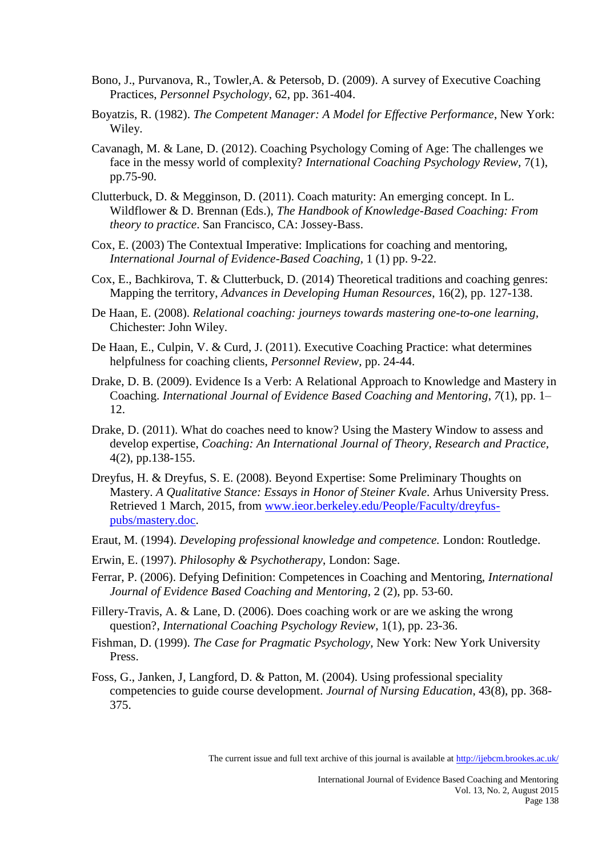- Bono, J., Purvanova, R., Towler,A. & Petersob, D. (2009). A survey of Executive Coaching Practices, *Personnel Psychology*, 62, pp. 361-404.
- Boyatzis, R. (1982). *The Competent Manager: A Model for Effective Performance*, New York: Wiley.
- Cavanagh, M. & Lane, D. (2012). Coaching Psychology Coming of Age: The challenges we face in the messy world of complexity? *International Coaching Psychology Review,* 7(1), pp.75-90.
- Clutterbuck, D. & Megginson, D. (2011). Coach maturity: An emerging concept. In L. Wildflower & D. Brennan (Eds.), *The Handbook of Knowledge-Based Coaching: From theory to practice*. San Francisco, CA: Jossey-Bass.
- Cox, E. (2003) The Contextual Imperative: Implications for coaching and mentoring, *International Journal of Evidence-Based Coaching,* 1 (1) pp. 9-22.
- Cox, E., Bachkirova, T. & Clutterbuck, D. (2014) Theoretical traditions and coaching genres: Mapping the territory, *Advances in Developing Human Resources*, 16(2), pp. 127-138.
- De Haan, E. (2008). *Relational coaching: journeys towards mastering one-to-one learning,* Chichester: John Wiley.
- De Haan, E., Culpin, V. & Curd, J. (2011). Executive Coaching Practice: what determines helpfulness for coaching clients, *Personnel Review,* pp. 24-44.
- Drake, D. B. (2009). Evidence Is a Verb: A Relational Approach to Knowledge and Mastery in Coaching. *International Journal of Evidence Based Coaching and Mentoring*, *7*(1), pp. 1– 12.
- Drake, D. (2011). What do coaches need to know? Using the Mastery Window to assess and develop expertise, *Coaching: An International Journal of Theory, Research and Practice,*  4(2), pp.138-155.
- Dreyfus, H. & Dreyfus, S. E. (2008). Beyond Expertise: Some Preliminary Thoughts on Mastery. *A Qualitative Stance: Essays in Honor of Steiner Kvale*. Arhus University Press. Retrieved 1 March, 2015, from [www.ieor.berkeley.edu/People/Faculty/dreyfus](http://www.ieor.berkeley.edu/People/Faculty/dreyfus-pubs/mastery.doc)[pubs/mastery.doc.](http://www.ieor.berkeley.edu/People/Faculty/dreyfus-pubs/mastery.doc)
- Eraut, M. (1994). *Developing professional knowledge and competence.* London: Routledge.
- Erwin, E. (1997). *Philosophy & Psychotherapy*, London: Sage.
- Ferrar, P. (2006). Defying Definition: Competences in Coaching and Mentoring, *International Journal of Evidence Based Coaching and Mentoring,* 2 (2), pp. 53-60.
- Fillery-Travis, A. & Lane, D. (2006). Does coaching work or are we asking the wrong question?, *International Coaching Psychology Review*, 1(1), pp. 23-36.
- Fishman, D. (1999). *The Case for Pragmatic Psychology,* New York: New York University Press.
- Foss, G., Janken, J, Langford, D. & Patton, M. (2004). Using professional speciality competencies to guide course development. *Journal of Nursing Education*, 43(8), pp. 368- 375.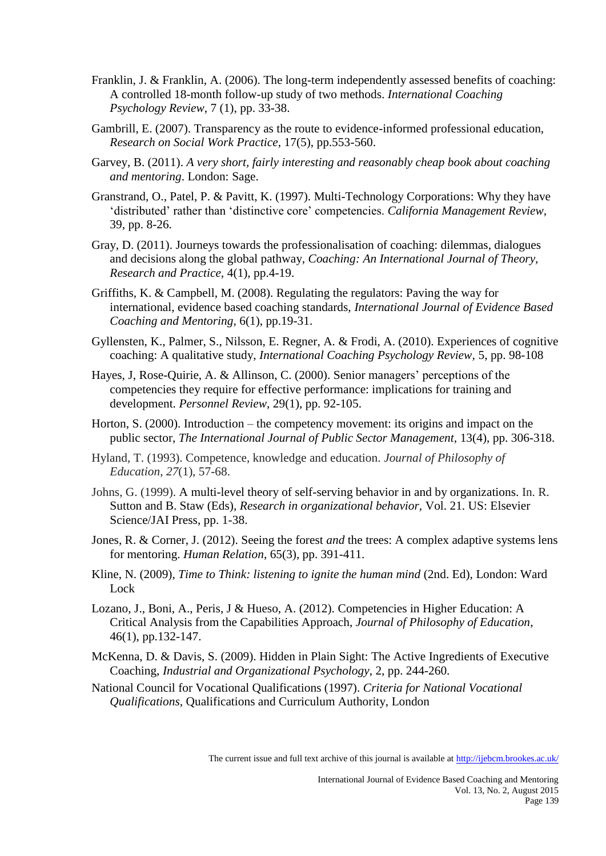- Franklin, J. & Franklin, A. (2006). The long-term independently assessed benefits of coaching: A controlled 18-month follow-up study of two methods. *International Coaching Psychology Review*, 7 (1), pp. 33-38.
- Gambrill, E. (2007). Transparency as the route to evidence-informed professional education, *Research on Social Work Practice*, 17(5), pp.553-560.
- Garvey, B. (2011). *A very short, fairly interesting and reasonably cheap book about coaching and mentoring*. London: Sage.
- Granstrand, O., Patel, P. & Pavitt, K. (1997). Multi-Technology Corporations: Why they have 'distributed' rather than 'distinctive core' competencies. *California Management Review,* 39, pp. 8-26.
- Gray, D. (2011). Journeys towards the professionalisation of coaching: dilemmas, dialogues and decisions along the global pathway, *Coaching: An International Journal of Theory, Research and Practice,* 4(1), pp.4-19.
- Griffiths, K. & Campbell, M. (2008). Regulating the regulators: Paving the way for international, evidence based coaching standards, *International Journal of Evidence Based Coaching and Mentoring,* 6(1), pp.19-31.
- Gyllensten, K., Palmer, S., Nilsson, E. Regner, A. & Frodi, A. (2010). Experiences of cognitive coaching: A qualitative study, *International Coaching Psychology Review,* 5, pp. 98-108
- Hayes, J, Rose-Quirie, A. & Allinson, C. (2000). Senior managers' perceptions of the competencies they require for effective performance: implications for training and development. *Personnel Review*, 29(1), pp. 92-105.
- Horton, S. (2000). Introduction the competency movement: its origins and impact on the public sector, *The International Journal of Public Sector Management,* 13(4), pp. 306-318.
- Hyland, T. (1993). Competence, knowledge and education. *Journal of Philosophy of Education*, *27*(1), 57-68.
- Johns, G. (1999). A multi-level theory of self-serving behavior in and by organizations. In. R. Sutton and B. Staw (Eds), *Research in organizational behavior,* Vol. 21. US: Elsevier Science/JAI Press, pp. 1-38.
- Jones, R. & Corner, J. (2012). Seeing the forest *and* the trees: A complex adaptive systems lens for mentoring. *Human Relation*, 65(3), pp. 391-411.
- Kline, N. (2009), *Time to Think: listening to ignite the human mind* (2nd. Ed), London: Ward Lock
- Lozano, J., Boni, A., Peris, J & Hueso, A. (2012). Competencies in Higher Education: A Critical Analysis from the Capabilities Approach, *Journal of Philosophy of Education*, 46(1), pp.132-147.
- McKenna, D. & Davis, S. (2009). Hidden in Plain Sight: The Active Ingredients of Executive Coaching, *Industrial and Organizational Psychology*, 2, pp. 244-260.
- National Council for Vocational Qualifications (1997). *Criteria for National Vocational Qualifications,* Qualifications and Curriculum Authority, London